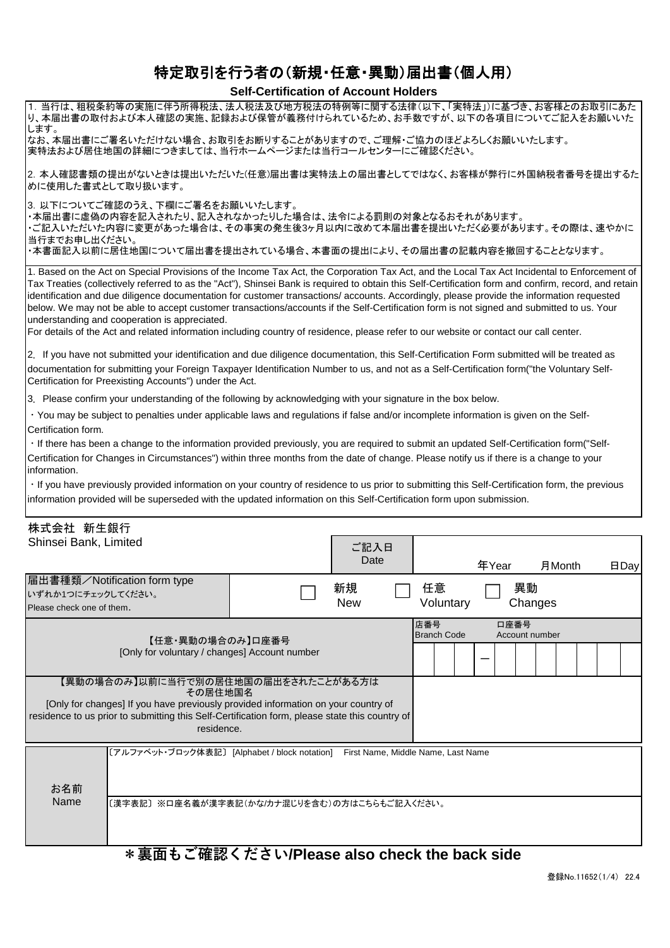## 特定取引を行う者の(新規・任意・異動)届出書(個人用)

## **Self-Certification of Account Holders**

| 1. 当行は、租税条約等の実施に伴う所得税法、法人税法及び地方税法の特例等に関する法律(以下、「実特法」)に基づき、お客様とのお取引にあた<br> り、本届出書の取付および本人確認の実施、記録および保管が義務付けられているため、お手数ですが、以下の各項目についてご記入をお願いいた<br>します。                                                                                                                                                                                                                                                                                                                                                                                                                                                                                                                                                                                                                                                                                                            |                  |     |                    |       |      |                |        |      |
|-----------------------------------------------------------------------------------------------------------------------------------------------------------------------------------------------------------------------------------------------------------------------------------------------------------------------------------------------------------------------------------------------------------------------------------------------------------------------------------------------------------------------------------------------------------------------------------------------------------------------------------------------------------------------------------------------------------------------------------------------------------------------------------------------------------------------------------------------------------------|------------------|-----|--------------------|-------|------|----------------|--------|------|
| なお、本届出書にご署名いただけない場合、お取引をお断りすることがありますので、ご理解・ご協力のほどよろしくお願いいたします。<br> 実特法および居住地国の詳細につきましては、当行ホームページまたは当行コールセンターにご確認ください。                                                                                                                                                                                                                                                                                                                                                                                                                                                                                                                                                                                                                                                                                                                                           |                  |     |                    |       |      |                |        |      |
| 2. 本人確認書類の提出がないときは提出いただいた(任意)届出書は実特法上の届出書としてではなく、お客様が弊行に外国納税者番号を提出するた<br>めに使用した書式として取り扱います。                                                                                                                                                                                                                                                                                                                                                                                                                                                                                                                                                                                                                                                                                                                                                                     |                  |     |                    |       |      |                |        |      |
| 3. 以下についてご確認のうえ、下欄にご署名をお願いいたします。<br>・本届出書に虚偽の内容を記入されたり、記入されなかったりした場合は、法令による罰則の対象となるおそれがあります。<br>ご記入いただいた内容に変更があった場合は、その事実の発生後3ヶ月以内に改めて本届出書を提出いただく必要があります。その際は、速やかに<br>当行までお申し出ください。<br>・本書面記入以前に居住地国について届出書を提出されている場合、本書面の提出により、その届出書の記載内容を撤回することとなります。                                                                                                                                                                                                                                                                                                                                                                                                                                                                                                                                                                                                         |                  |     |                    |       |      |                |        |      |
| 1. Based on the Act on Special Provisions of the Income Tax Act, the Corporation Tax Act, and the Local Tax Act Incidental to Enforcement of<br>Tax Treaties (collectively referred to as the "Act"), Shinsei Bank is required to obtain this Self-Certification form and confirm, record, and retain<br>identification and due diligence documentation for customer transactions/ accounts. Accordingly, please provide the information requested<br>below. We may not be able to accept customer transactions/accounts if the Self-Certification form is not signed and submitted to us. Your<br>understanding and cooperation is appreciated.<br>For details of the Act and related information including country of residence, please refer to our website or contact our call center.                                                                      |                  |     |                    |       |      |                |        |      |
| 2. If you have not submitted your identification and due diligence documentation, this Self-Certification Form submitted will be treated as<br>documentation for submitting your Foreign Taxpayer Identification Number to us, and not as a Self-Certification form("the Voluntary Self-<br>Certification for Preexisting Accounts") under the Act.                                                                                                                                                                                                                                                                                                                                                                                                                                                                                                             |                  |     |                    |       |      |                |        |      |
| 3. Please confirm your understanding of the following by acknowledging with your signature in the box below.<br>· You may be subject to penalties under applicable laws and regulations if false and/or incomplete information is given on the Self-<br>Certification form.<br>· If there has been a change to the information provided previously, you are required to submit an updated Self-Certification form("Self-<br>Certification for Changes in Circumstances") within three months from the date of change. Please notify us if there is a change to your<br>information.<br>· If you have previously provided information on your country of residence to us prior to submitting this Self-Certification form, the previous<br>information provided will be superseded with the updated information on this Self-Certification form upon submission. |                  |     |                    |       |      |                |        |      |
| 株式会社 新生銀行<br>Shinsei Bank, Limited                                                                                                                                                                                                                                                                                                                                                                                                                                                                                                                                                                                                                                                                                                                                                                                                                              | ご記入日<br>Date     |     |                    | 年Year |      |                | 月Month | 日Day |
| 屈出書種類/Notification form type<br>いずれか1つにチェックしてください。<br>Please check one of them.                                                                                                                                                                                                                                                                                                                                                                                                                                                                                                                                                                                                                                                                                                                                                                                 | 新規<br><b>New</b> |     | 任意<br>Voluntary    |       | 異動   | Changes        |        |      |
| 【任意・異動の場合のみ】口座番号<br>[Only for voluntary / changes] Account number                                                                                                                                                                                                                                                                                                                                                                                                                                                                                                                                                                                                                                                                                                                                                                                               |                  | 店番号 | <b>Branch Code</b> |       | 口座番号 | Account number |        |      |
| 【異動の場合のみ】以前に当行で別の居住地国の届出をされたことがある方は<br>その居住地国名<br>[Only for changes] If you have previously provided information on your country of<br>residence to us prior to submitting this Self-Certification form, please state this country of<br>residence.                                                                                                                                                                                                                                                                                                                                                                                                                                                                                                                                                                                                             |                  |     |                    |       |      |                |        |      |
| [アルファベット・ブロック体表記] [Alphabet / block notation] First Name, Middle Name, Last Name<br>お名前                                                                                                                                                                                                                                                                                                                                                                                                                                                                                                                                                                                                                                                                                                                                                                         |                  |     |                    |       |      |                |        |      |
| Name<br>〔漢字表記〕※口座名義が漢字表記(かな/カナ混じりを含む)の方はこちらもご記入ください。                                                                                                                                                                                                                                                                                                                                                                                                                                                                                                                                                                                                                                                                                                                                                                                                            |                  |     |                    |       |      |                |        |      |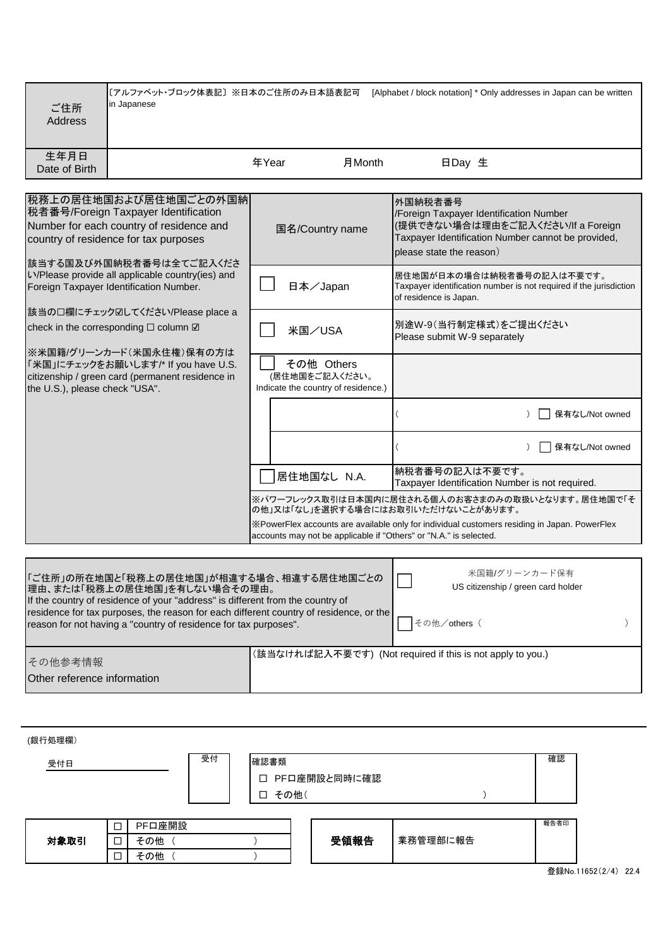| ご住所<br>Address                         | 〔アルファベット・ブロック体表記〕※日本のご住所のみ日本語表記可<br>in Japanese                                                                                                                                                                                                                                                                           |       |                                                                     | [Alphabet / block notation] * Only addresses in Japan can be written                                                                                                      |
|----------------------------------------|---------------------------------------------------------------------------------------------------------------------------------------------------------------------------------------------------------------------------------------------------------------------------------------------------------------------------|-------|---------------------------------------------------------------------|---------------------------------------------------------------------------------------------------------------------------------------------------------------------------|
| 生年月日<br>Date of Birth                  |                                                                                                                                                                                                                                                                                                                           | 年Year | 月Month                                                              | 日Day 生                                                                                                                                                                    |
|                                        |                                                                                                                                                                                                                                                                                                                           |       |                                                                     |                                                                                                                                                                           |
|                                        | 税務上の居住地国および居住地国ごとの外国納<br>税者番号/Foreign Taxpayer Identification<br>Number for each country of residence and<br>country of residence for tax purposes<br> 該当する国及び外国納税者番号は全てご記入くださ                                                                                                                                            |       | 国名/Country name                                                     | 外国納税者番号<br>/Foreign Taxpayer Identification Number<br>(提供できない場合は理由をご記入ください/If a Foreign<br>Taxpayer Identification Number cannot be provided,<br>please state the reason) |
|                                        | い/Please provide all applicable country(ies) and<br>Foreign Taxpayer Identification Number.                                                                                                                                                                                                                               |       | 日本/Japan                                                            | 居住地国が日本の場合は納税者番号の記入は不要です。<br>Taxpayer identification number is not required if the jurisdiction<br>of residence is Japan.                                                 |
|                                        | 該当の口欄にチェック図してください/Please place a<br>check in the corresponding □ column Ø<br>※米国籍/グリーンカード(米国永住権)保有の方は                                                                                                                                                                                                                     |       | 米国/USA                                                              | 別途W-9(当行制定様式)をご提出ください<br>Please submit W-9 separately                                                                                                                     |
| the U.S.), please check "USA".         | 「米国」にチェックをお願いします/* If you have U.S.<br>citizenship / green card (permanent residence in                                                                                                                                                                                                                                   |       | その他 Others<br>(居住地国をご記入ください。<br>Indicate the country of residence.) |                                                                                                                                                                           |
|                                        |                                                                                                                                                                                                                                                                                                                           |       |                                                                     | 保有なし/Not owned                                                                                                                                                            |
|                                        |                                                                                                                                                                                                                                                                                                                           |       |                                                                     | 保有なし/Not owned                                                                                                                                                            |
|                                        |                                                                                                                                                                                                                                                                                                                           |       | 居住地国なし N.A.                                                         | 納税者番号の記入は不要です。<br>Taxpayer Identification Number is not required.                                                                                                         |
|                                        |                                                                                                                                                                                                                                                                                                                           |       |                                                                     | ※パワーフレックス取引は日本国内に居住される個人のお客さまのみの取扱いとなります。居住地国で「そ<br>の他」又は「なし」を選択する場合にはお取引いただけないことがあります。                                                                                   |
|                                        |                                                                                                                                                                                                                                                                                                                           |       |                                                                     | ※PowerFlex accounts are available only for individual customers residing in Japan. PowerFlex<br>accounts may not be applicable if "Others" or "N.A." is selected.         |
|                                        |                                                                                                                                                                                                                                                                                                                           |       |                                                                     |                                                                                                                                                                           |
|                                        | 「ご住所」の所在地国と「税務上の居住地国」が相違する場合、相違する居住地国ごとの<br> 理由、または「税務上の居住地国」を有しない場合その理由。<br>If the country of residence of your "address" is different from the country of<br>residence for tax purposes, the reason for each different country of residence, or the<br>reason for not having a "country of residence for tax purposes". |       |                                                                     | 米国籍/グリーンカード保有<br>US citizenship / green card holder<br>その他/others (                                                                                                       |
|                                        |                                                                                                                                                                                                                                                                                                                           |       |                                                                     |                                                                                                                                                                           |
| その他参考情報<br>Other reference information |                                                                                                                                                                                                                                                                                                                           |       |                                                                     | (該当なければ記入不要です) (Not required if this is not apply to you.)                                                                                                                |

| (銀行処理欄)<br>受付日 |             |                      | 受付 | 確認書類<br>П.<br>$\Box$ | その他( | PFロ座開設と同時に確認 |          | 確認   |
|----------------|-------------|----------------------|----|----------------------|------|--------------|----------|------|
| 対象取引           | □<br>□<br>□ | PF口座開設<br>その他<br>その他 |    |                      |      | 受領報告         | 業務管理部に報告 | 報告者印 |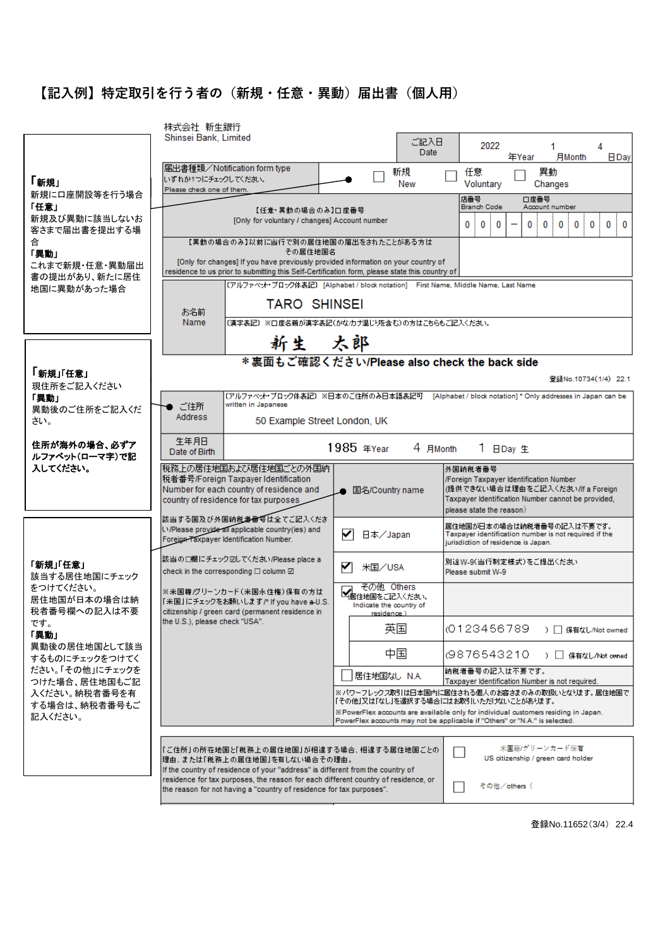## **【記入例】特定取引を行う者の(新規・任意・異動)届出書(個人用)**

|                                  | 株式会社 新生銀行                                                                                                                                                  |                                                                                   |                                                                                                                              |
|----------------------------------|------------------------------------------------------------------------------------------------------------------------------------------------------------|-----------------------------------------------------------------------------------|------------------------------------------------------------------------------------------------------------------------------|
|                                  | Shinsei Bank, Limited                                                                                                                                      | ご記入日                                                                              | 2022<br>4<br>1.                                                                                                              |
|                                  |                                                                                                                                                            | <b>Date</b>                                                                       | 年Year<br>月Month<br>$\overline{\mathsf{B}}$ Day                                                                               |
| 「新規」                             | 届出書種類/Notification form type<br>いすれか1つにチェックしてください。                                                                                                         | 新規                                                                                | 異動<br>任意                                                                                                                     |
| 新規に口座開設等を行う場合                    | Please check one of them.                                                                                                                                  | New                                                                               | Voluntary<br>Changes                                                                                                         |
| 「任意」                             | 【任意・異動の場合のみ】口座番号                                                                                                                                           |                                                                                   | 口座番号<br>店番号<br><b>Branch Code</b><br>Account number                                                                          |
| 新規及び異動に該当しないお<br>客さまで届出書を提出する場   | [Only for voluntary / changes] Account number                                                                                                              |                                                                                   | 0<br>0<br>0<br>0<br>0<br>0<br>0<br>0<br>0 !<br>0                                                                             |
| 合                                | 【異動の場合のみ】以前に当行で別の居住地国の届出をされたことがある方は」                                                                                                                       |                                                                                   |                                                                                                                              |
| 「異動」<br>これまで新規・任意・異動届出           | その居住地国名<br>[Only for changes] If you have previously provided information on your country of                                                               |                                                                                   |                                                                                                                              |
| 書の提出があり、新たに居住                    | residence to us prior to submitting this Self-Certification form, please state this country of                                                             |                                                                                   |                                                                                                                              |
| 地国に異動があった場合                      |                                                                                                                                                            | 〔アルファベット・ブロック体表記〕 [Alphabet / block notation] 「First Name, Middle Name, Last Name |                                                                                                                              |
|                                  | <b>TARO SHINSEI</b><br>お名前                                                                                                                                 |                                                                                   |                                                                                                                              |
|                                  | Name                                                                                                                                                       | 〔漢字表記〕※口座名義が漢字表記(かな/カナ混じりを含む)の方はこちらもご記入ください。                                      |                                                                                                                              |
|                                  | 新生 太郎                                                                                                                                                      |                                                                                   |                                                                                                                              |
|                                  |                                                                                                                                                            | * 裏面もご確認ください/Please also check the back side                                      |                                                                                                                              |
| 「新規」「任意」<br>現住所をご記入ください          |                                                                                                                                                            |                                                                                   | 登録No.10734(1/4) 22.1                                                                                                         |
| 「異動」                             | written in Japanese                                                                                                                                        |                                                                                   | (アルファベット・ブロック体表記) ※日本のご住所のみ日本語表記可 ― [Alphabet / block notation] * Only addresses in Japan can be l                           |
| 異動後のご住所をご記入くだ<br>さい。             | ご住所<br>Address<br>50 Example Street London, UK                                                                                                             |                                                                                   |                                                                                                                              |
|                                  |                                                                                                                                                            |                                                                                   |                                                                                                                              |
| 住所が海外の場合、必ずア<br>ルファベット(ローマ字)で記   | 生年月日<br>Date of Birth                                                                                                                                      | 1985 年Year<br>4 月Month                                                            | 1 日Day 生                                                                                                                     |
|                                  |                                                                                                                                                            |                                                                                   |                                                                                                                              |
| 入してください。                         | 税務上の居住地国および居住地国ごとの外国納                                                                                                                                      |                                                                                   | 外国纳税者番号                                                                                                                      |
|                                  | 税者番号/Foreign Taxpayer Identification<br>Number for each country of residence and                                                                           |                                                                                   | /Foreign Taxpayer Identification Number<br>(提供できない場合は理由をご記入ください/If a Foreign                                                 |
|                                  | country of residence for tax purposes                                                                                                                      | ▲ 国名/Country name                                                                 | Taxpayer Identification Number cannot be provided,                                                                           |
|                                  | 該当する国及び外国納税者番号は全てご記入くださ                                                                                                                                    |                                                                                   | please state the reason)                                                                                                     |
|                                  | LVPlease provide all applicable country(ies) and<br>Foreign Taxpayer Identification Number.                                                                | ✓<br>日本/Japan                                                                     | 居住地国が日本の場合は納税者番号の記入は不要です。<br>Taxpayer identification number is not required if the<br>jurisdiction of residence is Japan.    |
|                                  | 該当の口欄にチェック図してください/Please place a                                                                                                                           |                                                                                   |                                                                                                                              |
| 「新規」「任意」<br>該当する居住地国にチェック        | check in the corresponding $\square$ column $\square$                                                                                                      | ✓<br>米国/USA                                                                       | 別途W-9(当行制定様式)をご提出ください<br>Please submit W-9                                                                                   |
| をつけてください。                        | ※米国籍/グリーンカード(米国永住権)保有の方は                                                                                                                                   | その他 Others                                                                        |                                                                                                                              |
| 居住地国が日本の場合は納<br>税者番号欄への記入は不要     | 「米国」にチェックをお願いします/* If you have a-U.S.<br>citizenship / green card (permanent residence in                                                                  | イエイル国をご記入ください。<br>Indicate the country of                                         |                                                                                                                              |
| です。                              | the U.S.), please check "USA".                                                                                                                             | residence.)<br>英国                                                                 | 0123456789<br>) □ 保有なし/Not owned                                                                                             |
| 「異動」<br>異動後の居住地国として該当            |                                                                                                                                                            |                                                                                   |                                                                                                                              |
| するものにチェックをつけてく                   |                                                                                                                                                            | 中国                                                                                | 0876543210<br>) □ 保有なし/Not owned                                                                                             |
| ださい。「その他」にチェックを<br>つけた場合、居住地国もご記 |                                                                                                                                                            | 居住地国なし N.A.                                                                       | 納税者番号の記入は不要です。<br>Taxpayer Identification Number is not required.                                                            |
| 入ください。納税者番号を有                    |                                                                                                                                                            |                                                                                   | ※パワーフレックス取引は日本国内に居住される個人のお客さまのみの取扱いとなります。 居住地国で                                                                              |
| する場合は、納税者番号もご<br>記入ください。         |                                                                                                                                                            |                                                                                   | 「その他」又は「なし」を選択する場合にはお取引いただけないことがあります。<br>X PowerFlex accounts are available only for individual customers residing in Japan. |
|                                  |                                                                                                                                                            |                                                                                   | PowerFlex accounts may not be applicable if "Others" or "N.A." is selected.                                                  |
|                                  | 『ご住所』の所在地国と「税務上の居住地国」が相違する場合、相違する居住地国ごとの                                                                                                                   |                                                                                   | 米国籍/グリーンカード保有                                                                                                                |
|                                  | 理由、または「税務上の居住地国」を有しない場合その理由。<br>If the country of residence of your "address" is different from the country of                                             |                                                                                   | US citizenship / green card holder                                                                                           |
|                                  | residence for tax purposes, the reason for each different country of residence, or<br>the reason for not having a "country of residence for tax purposes". |                                                                                   | その他/others(                                                                                                                  |